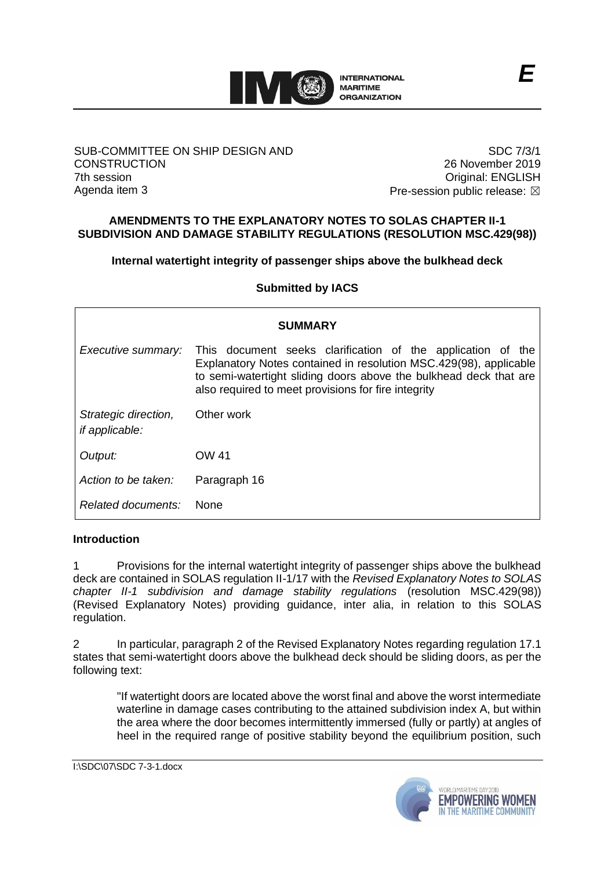

#### SUB-COMMITTEE ON SHIP DESIGN AND **CONSTRUCTION** 7th session Agenda item 3

SDC 7/3/1 26 November 2019 Original: ENGLISH Pre-session public release:  $\boxtimes$ 

## **AMENDMENTS TO THE EXPLANATORY NOTES TO SOLAS CHAPTER II-1 SUBDIVISION AND DAMAGE STABILITY REGULATIONS (RESOLUTION MSC.429(98))**

**Internal watertight integrity of passenger ships above the bulkhead deck**

**Submitted by IACS**

| <b>SUMMARY</b>                                |                                                                                                                                                                                                                                                              |
|-----------------------------------------------|--------------------------------------------------------------------------------------------------------------------------------------------------------------------------------------------------------------------------------------------------------------|
| Executive summary:                            | This document seeks clarification of the application of the<br>Explanatory Notes contained in resolution MSC.429(98), applicable<br>to semi-watertight sliding doors above the bulkhead deck that are<br>also required to meet provisions for fire integrity |
| Strategic direction,<br><i>if applicable:</i> | Other work                                                                                                                                                                                                                                                   |
| Output:                                       | OW 41                                                                                                                                                                                                                                                        |
| Action to be taken:                           | Paragraph 16                                                                                                                                                                                                                                                 |
| Related documents:                            | <b>None</b>                                                                                                                                                                                                                                                  |

## **Introduction**

1 Provisions for the internal watertight integrity of passenger ships above the bulkhead deck are contained in SOLAS regulation II-1/17 with the *Revised Explanatory Notes to SOLAS chapter II-1 subdivision and damage stability regulations* (resolution MSC.429(98)) (Revised Explanatory Notes) providing guidance, inter alia, in relation to this SOLAS regulation.

2 In particular, paragraph 2 of the Revised Explanatory Notes regarding regulation 17.1 states that semi-watertight doors above the bulkhead deck should be sliding doors, as per the following text:

"If watertight doors are located above the worst final and above the worst intermediate waterline in damage cases contributing to the attained subdivision index A, but within the area where the door becomes intermittently immersed (fully or partly) at angles of heel in the required range of positive stability beyond the equilibrium position, such

I:\SDC\07\SDC 7-3-1.docx

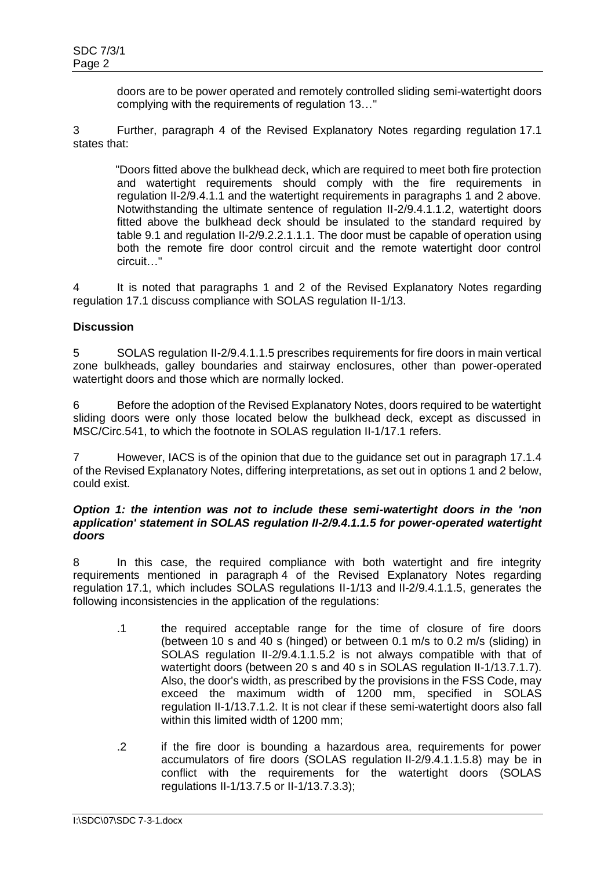doors are to be power operated and remotely controlled sliding semi-watertight doors complying with the requirements of regulation 13…"

3 Further, paragraph 4 of the Revised Explanatory Notes regarding regulation 17.1 states that:

"Doors fitted above the bulkhead deck, which are required to meet both fire protection and watertight requirements should comply with the fire requirements in regulation II-2/9.4.1.1 and the watertight requirements in paragraphs 1 and 2 above. Notwithstanding the ultimate sentence of regulation II-2/9.4.1.1.2, watertight doors fitted above the bulkhead deck should be insulated to the standard required by table 9.1 and regulation II-2/9.2.2.1.1.1. The door must be capable of operation using both the remote fire door control circuit and the remote watertight door control circuit…"

4 It is noted that paragraphs 1 and 2 of the Revised Explanatory Notes regarding regulation 17.1 discuss compliance with SOLAS regulation II-1/13.

## **Discussion**

5 SOLAS regulation II-2/9.4.1.1.5 prescribes requirements for fire doors in main vertical zone bulkheads, galley boundaries and stairway enclosures, other than power-operated watertight doors and those which are normally locked.

6 Before the adoption of the Revised Explanatory Notes, doors required to be watertight sliding doors were only those located below the bulkhead deck, except as discussed in MSC/Circ.541, to which the footnote in SOLAS regulation II-1/17.1 refers.

7 However, IACS is of the opinion that due to the guidance set out in paragraph 17.1.4 of the Revised Explanatory Notes, differing interpretations, as set out in options 1 and 2 below, could exist.

#### *Option 1: the intention was not to include these semi-watertight doors in the 'non application' statement in SOLAS regulation II-2/9.4.1.1.5 for power-operated watertight doors*

8 In this case, the required compliance with both watertight and fire integrity requirements mentioned in paragraph 4 of the Revised Explanatory Notes regarding regulation 17.1, which includes SOLAS regulations II-1/13 and II-2/9.4.1.1.5, generates the following inconsistencies in the application of the regulations:

- .1 the required acceptable range for the time of closure of fire doors (between 10 s and 40 s (hinged) or between 0.1 m/s to 0.2 m/s (sliding) in SOLAS regulation II-2/9.4.1.1.5.2 is not always compatible with that of watertight doors (between 20 s and 40 s in SOLAS regulation II-1/13.7.1.7). Also, the door's width, as prescribed by the provisions in the FSS Code, may exceed the maximum width of 1200 mm, specified in SOLAS regulation II-1/13.7.1.2. It is not clear if these semi-watertight doors also fall within this limited width of 1200 mm;
- .2 if the fire door is bounding a hazardous area, requirements for power accumulators of fire doors (SOLAS regulation II-2/9.4.1.1.5.8) may be in conflict with the requirements for the watertight doors (SOLAS regulations II-1/13.7.5 or II-1/13.7.3.3);